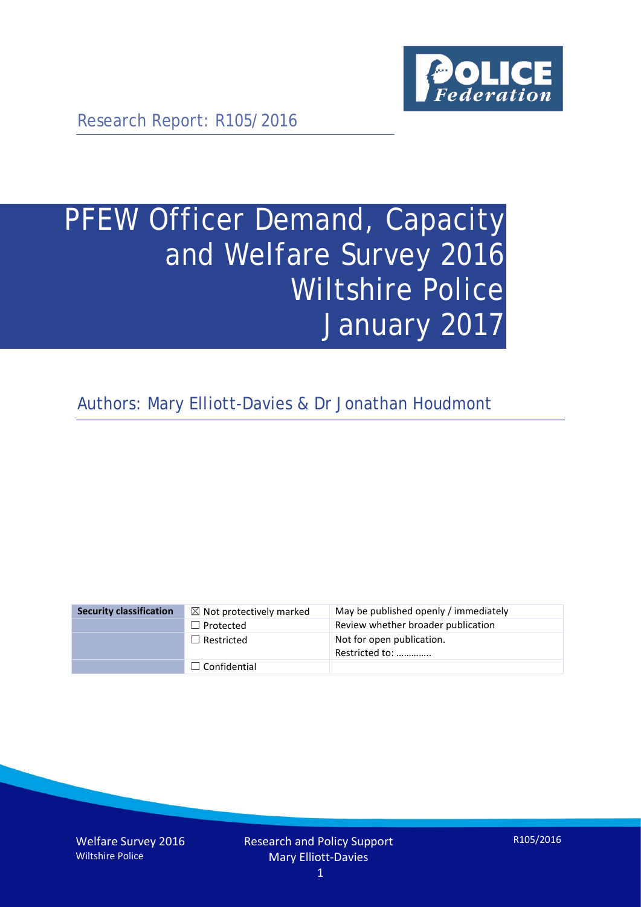

Research Report: R105/2016

# PFEW Officer Demand, Capacity and Welfare Survey 2016 Wiltshire Police January 2017

Authors: Mary Elliott-Davies & Dr Jonathan Houdmont

| <b>Security classification</b> | $\boxtimes$ Not protectively marked | May be published openly / immediately       |
|--------------------------------|-------------------------------------|---------------------------------------------|
|                                | $\Box$ Protected                    | Review whether broader publication          |
|                                | $\Box$ Restricted                   | Not for open publication.<br>Restricted to: |
|                                | $\Box$ Confidential                 |                                             |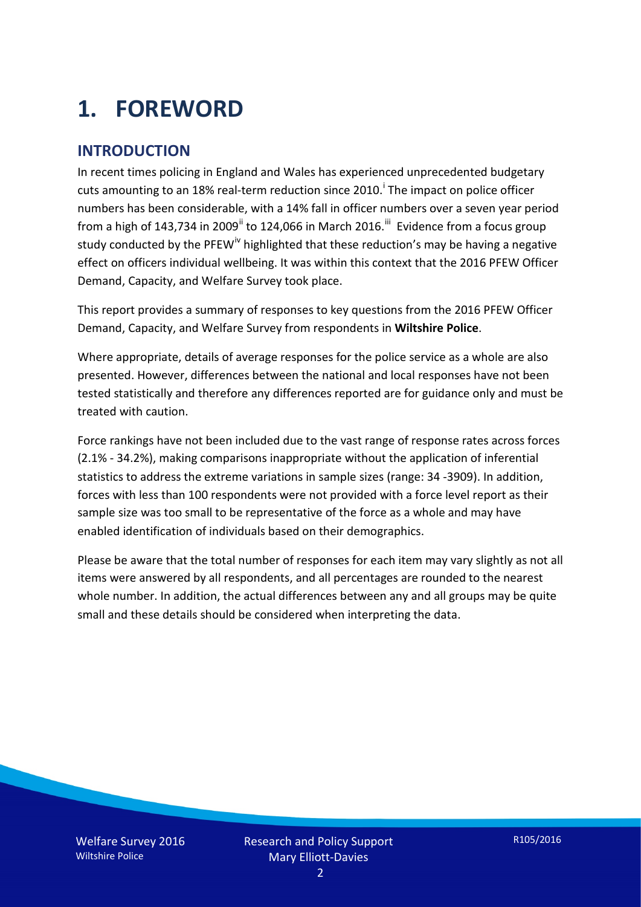# **1. FOREWORD**

## **INTRODUCTION**

In recent times policing in England and Wales has experienced unprecedented budgetary cuts amount[i](#page-15-0)ng to an 18% real-term reduction since 2010.<sup>1</sup> The impact on police officer numbers has been considerable, with a 14% fall in officer numbers over a seven year period from a high of 143,734 in 2009<sup>[ii](#page-15-1)</sup> to 124,066 in March 2016.<sup>[iii](#page-15-2)</sup> Evidence from a focus group study conducted by the PFEW<sup>[iv](#page-15-3)</sup> highlighted that these reduction's may be having a negative effect on officers individual wellbeing. It was within this context that the 2016 PFEW Officer Demand, Capacity, and Welfare Survey took place.

This report provides a summary of responses to key questions from the 2016 PFEW Officer Demand, Capacity, and Welfare Survey from respondents in **Wiltshire Police**.

Where appropriate, details of average responses for the police service as a whole are also presented. However, differences between the national and local responses have not been tested statistically and therefore any differences reported are for guidance only and must be treated with caution.

Force rankings have not been included due to the vast range of response rates across forces (2.1% - 34.2%), making comparisons inappropriate without the application of inferential statistics to address the extreme variations in sample sizes (range: 34 -3909). In addition, forces with less than 100 respondents were not provided with a force level report as their sample size was too small to be representative of the force as a whole and may have enabled identification of individuals based on their demographics.

Please be aware that the total number of responses for each item may vary slightly as not all items were answered by all respondents, and all percentages are rounded to the nearest whole number. In addition, the actual differences between any and all groups may be quite small and these details should be considered when interpreting the data.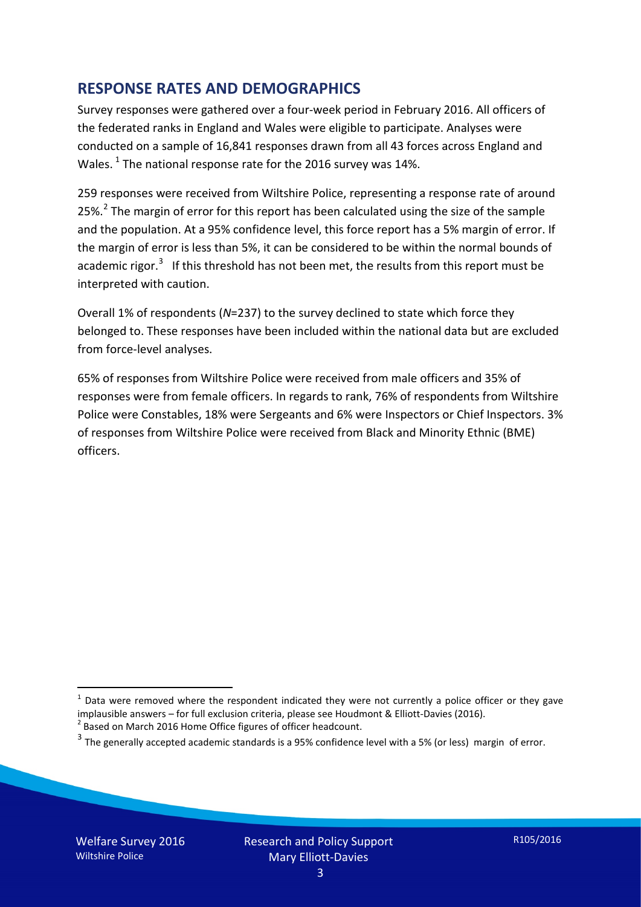### **RESPONSE RATES AND DEMOGRAPHICS**

Survey responses were gathered over a four-week period in February 2016. All officers of the federated ranks in England and Wales were eligible to participate. Analyses were conducted on a sample of 16,841 responses drawn from all 43 forces across England and Wales.  $^1$  $^1$  The national response rate for the 2016 survey was 14%.

259 responses were received from Wiltshire Police, representing a response rate of around [2](#page-2-1)5%.<sup>2</sup> The margin of error for this report has been calculated using the size of the sample and the population. At a 95% confidence level, this force report has a 5% margin of error. If the margin of error is less than 5%, it can be considered to be within the normal bounds of academic rigor.<sup>[3](#page-2-2)</sup> If this threshold has not been met, the results from this report must be interpreted with caution.

Overall 1% of respondents (*N*=237) to the survey declined to state which force they belonged to. These responses have been included within the national data but are excluded from force-level analyses.

65% of responses from Wiltshire Police were received from male officers and 35% of responses were from female officers. In regards to rank, 76% of respondents from Wiltshire Police were Constables, 18% were Sergeants and 6% were Inspectors or Chief Inspectors. 3% of responses from Wiltshire Police were received from Black and Minority Ethnic (BME) officers.

-

<span id="page-2-0"></span> $1$  Data were removed where the respondent indicated they were not currently a police officer or they gave implausible answers – for full exclusion criteria, please see Houdmont & Elliott-Davies (2016).<br><sup>2</sup> Based on March 2016 Home Office figures of officer headcount.

<span id="page-2-1"></span>

<span id="page-2-2"></span> $3$  The generally accepted academic standards is a 95% confidence level with a 5% (or less) margin of error.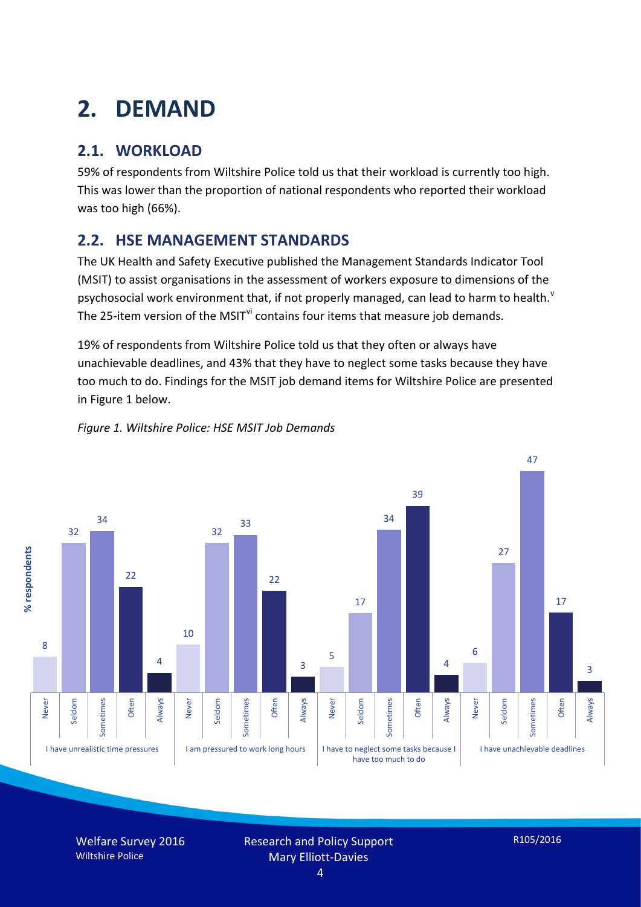# **2. DEMAND**

# **2.1. WORKLOAD**

59% of respondents from Wiltshire Police told us that their workload is currently too high. This was lower than the proportion of national respondents who reported their workload was too high (66%).

# **2.2. HSE MANAGEMENT STANDARDS**

The UK Health and Safety Executive published the Management Standards Indicator Tool (MSIT) to assist organisations in the assessment of workers exposure to dimensions of the psychosocial work en[v](#page-15-4)ironment that, if not properly managed, can lead to harm to health.<sup>v</sup> The 25-item version of the MSIT<sup>[vi](#page-15-5)</sup> contains four items that measure job demands.

19% of respondents from Wiltshire Police told us that they often or always have unachievable deadlines, and 43% that they have to neglect some tasks because they have too much to do. Findings for the MSIT job demand items for Wiltshire Police are presented in Figure 1 below.



#### *Figure 1. Wiltshire Police: HSE MSIT Job Demands*

Welfare Survey 2016 Wiltshire Police

Research and Policy Support Mary Elliott-Davies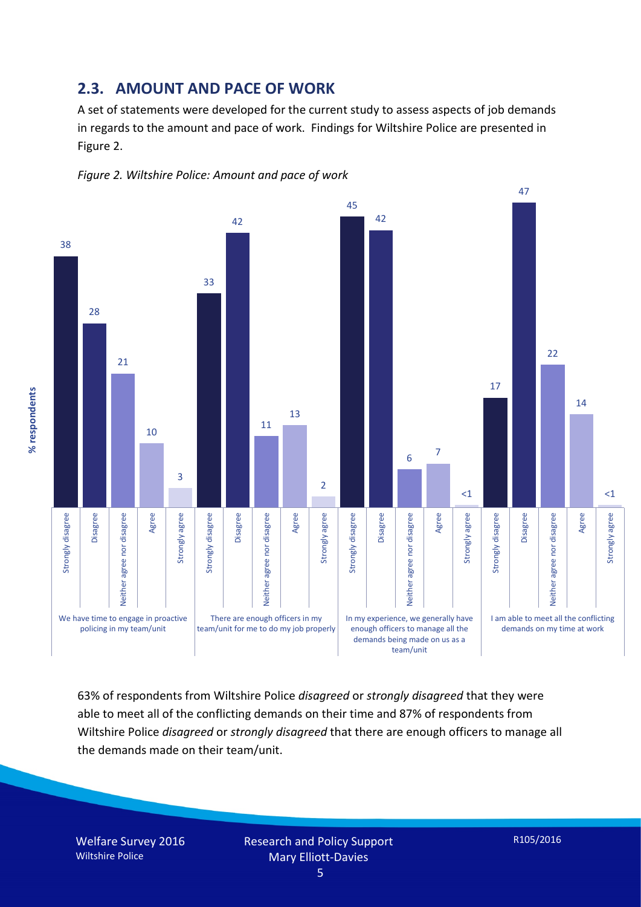### **2.3. AMOUNT AND PACE OF WORK**

A set of statements were developed for the current study to assess aspects of job demands in regards to the amount and pace of work. Findings for Wiltshire Police are presented in Figure 2.





63% of respondents from Wiltshire Police *disagreed* or *strongly disagreed* that they were able to meet all of the conflicting demands on their time and 87% of respondents from Wiltshire Police *disagreed* or *strongly disagreed* that there are enough officers to manage all the demands made on their team/unit.

Welfare Survey 2016 Wiltshire Police

Research and Policy Support Mary Elliott-Davies

R105/2016

5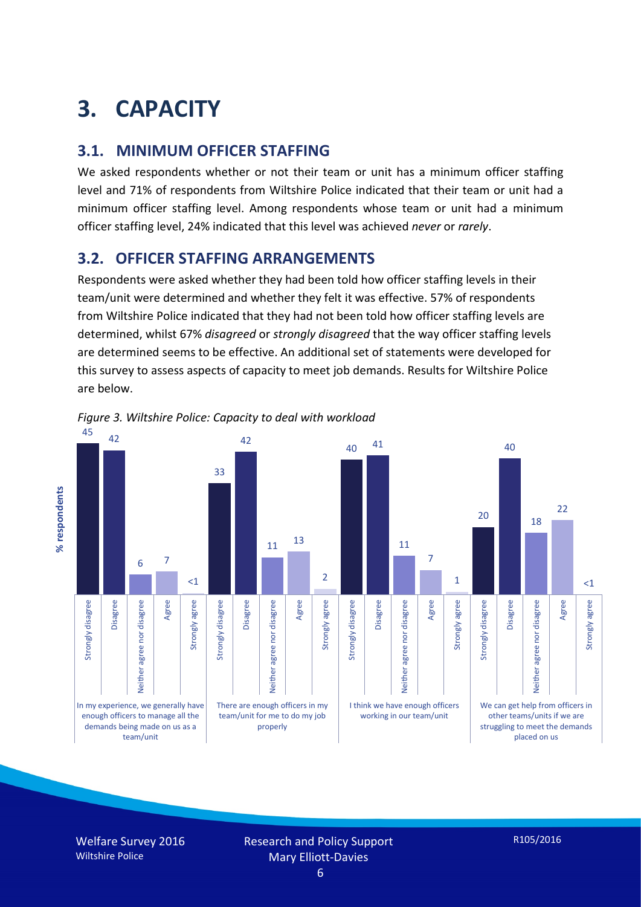# **3. CAPACITY**

### **3.1. MINIMUM OFFICER STAFFING**

We asked respondents whether or not their team or unit has a minimum officer staffing level and 71% of respondents from Wiltshire Police indicated that their team or unit had a minimum officer staffing level. Among respondents whose team or unit had a minimum officer staffing level, 24% indicated that this level was achieved *never* or *rarely*.

## **3.2. OFFICER STAFFING ARRANGEMENTS**

Respondents were asked whether they had been told how officer staffing levels in their team/unit were determined and whether they felt it was effective. 57% of respondents from Wiltshire Police indicated that they had not been told how officer staffing levels are determined, whilst 67% *disagreed* or *strongly disagreed* that the way officer staffing levels are determined seems to be effective. An additional set of statements were developed for this survey to assess aspects of capacity to meet job demands. Results for Wiltshire Police are below.



*Figure 3. Wiltshire Police: Capacity to deal with workload*

Welfare Survey 2016 Wiltshire Police

Research and Policy Support Mary Elliott-Davies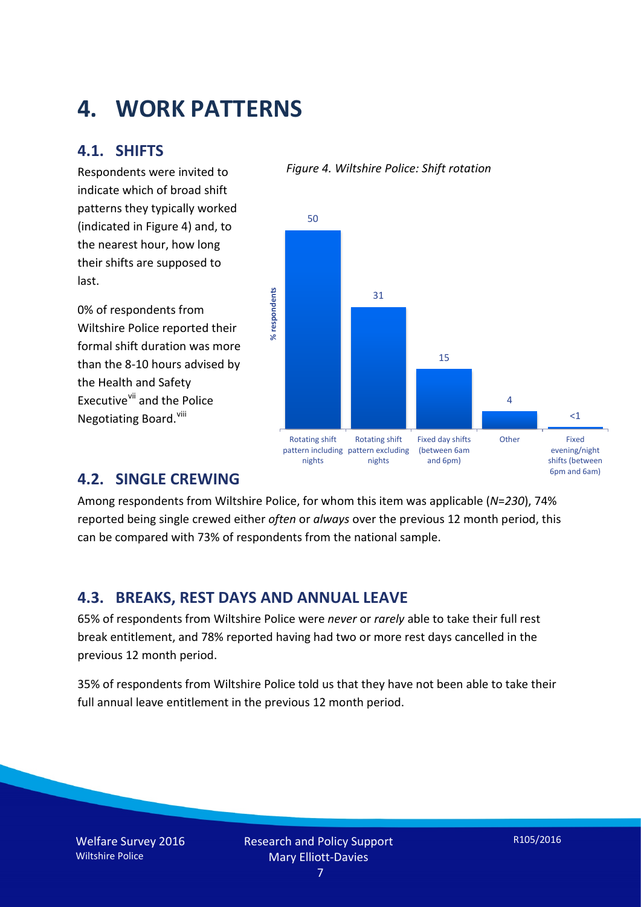# **4. WORK PATTERNS**

### **4.1. SHIFTS**

Respondents were invited to indicate which of broad shift patterns they typically worked (indicated in Figure 4) and, to the nearest hour, how long their shifts are supposed to last.

0% of respondents from Wiltshire Police reported their formal shift duration was more than the 8-10 hours advised by the Health and Safety Executive<sup>[vii](#page-15-6)</sup> and the Police Negotiating Board.<sup>[viii](#page-15-7)</sup>



*Figure 4. Wiltshire Police: Shift rotation*

**4.2. SINGLE CREWING**

Among respondents from Wiltshire Police, for whom this item was applicable (*N*=*230*), 74% reported being single crewed either *often* or *always* over the previous 12 month period, this can be compared with 73% of respondents from the national sample.

# **4.3. BREAKS, REST DAYS AND ANNUAL LEAVE**

65% of respondents from Wiltshire Police were *never* or *rarely* able to take their full rest break entitlement, and 78% reported having had two or more rest days cancelled in the previous 12 month period.

35% of respondents from Wiltshire Police told us that they have not been able to take their full annual leave entitlement in the previous 12 month period.

Welfare Survey 2016 Wiltshire Police

6pm and 6am)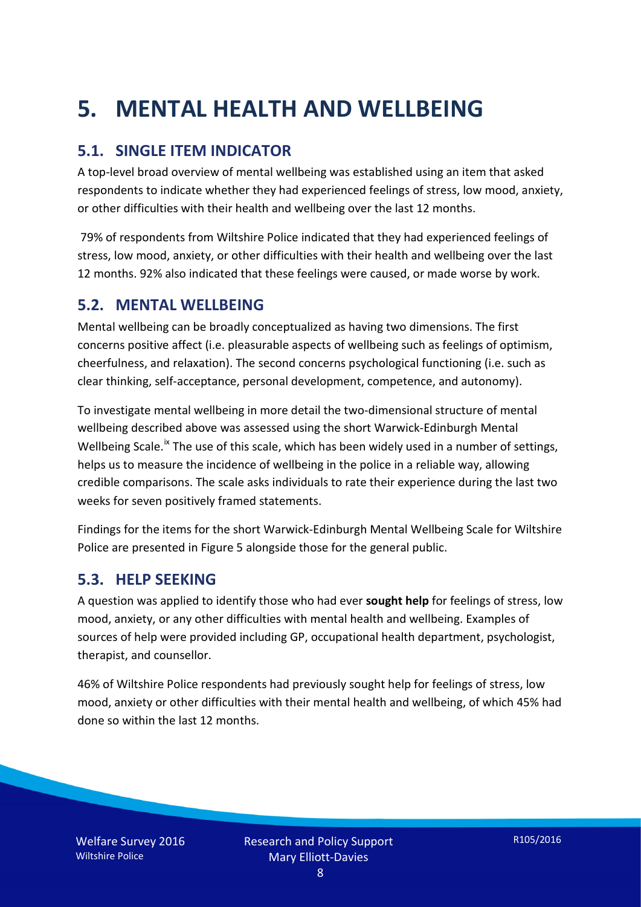# **5. MENTAL HEALTH AND WELLBEING**

# **5.1. SINGLE ITEM INDICATOR**

A top-level broad overview of mental wellbeing was established using an item that asked respondents to indicate whether they had experienced feelings of stress, low mood, anxiety, or other difficulties with their health and wellbeing over the last 12 months.

79% of respondents from Wiltshire Police indicated that they had experienced feelings of stress, low mood, anxiety, or other difficulties with their health and wellbeing over the last 12 months. 92% also indicated that these feelings were caused, or made worse by work.

### **5.2. MENTAL WELLBEING**

Mental wellbeing can be broadly conceptualized as having two dimensions. The first concerns positive affect (i.e. pleasurable aspects of wellbeing such as feelings of optimism, cheerfulness, and relaxation). The second concerns psychological functioning (i.e. such as clear thinking, self-acceptance, personal development, competence, and autonomy).

To investigate mental wellbeing in more detail the two-dimensional structure of mental wellbeing described above was assessed using the short Warwick-Edinburgh Mental Wellbeing Scale.<sup>[ix](#page-15-8)</sup> The use of this scale, which has been widely used in a number of settings, helps us to measure the incidence of wellbeing in the police in a reliable way, allowing credible comparisons. The scale asks individuals to rate their experience during the last two weeks for seven positively framed statements.

Findings for the items for the short Warwick-Edinburgh Mental Wellbeing Scale for Wiltshire Police are presented in Figure 5 alongside those for the general public.

### **5.3. HELP SEEKING**

A question was applied to identify those who had ever **sought help** for feelings of stress, low mood, anxiety, or any other difficulties with mental health and wellbeing. Examples of sources of help were provided including GP, occupational health department, psychologist, therapist, and counsellor.

46% of Wiltshire Police respondents had previously sought help for feelings of stress, low mood, anxiety or other difficulties with their mental health and wellbeing, of which 45% had done so within the last 12 months.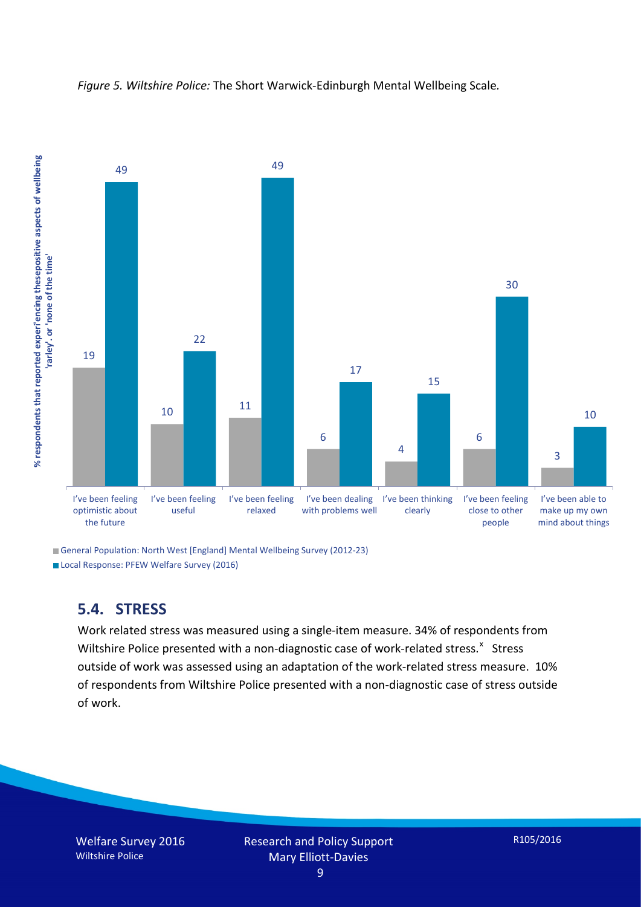

*Figure 5. Wiltshire Police:* The Short Warwick-Edinburgh Mental Wellbeing Scale*.*

General Population: North West [England] Mental Wellbeing Survey (2012-23)

Local Response: PFEW Welfare Survey (2016)

# **5.4. STRESS**

Work related stress was measured using a single-item measure. 34% of respondents from Wiltshire Police presented with a non-diagnostic case of work-related stress.<sup>[x](#page-15-9)</sup> Stress outside of work was assessed using an adaptation of the work-related stress measure. 10% of respondents from Wiltshire Police presented with a non-diagnostic case of stress outside of work.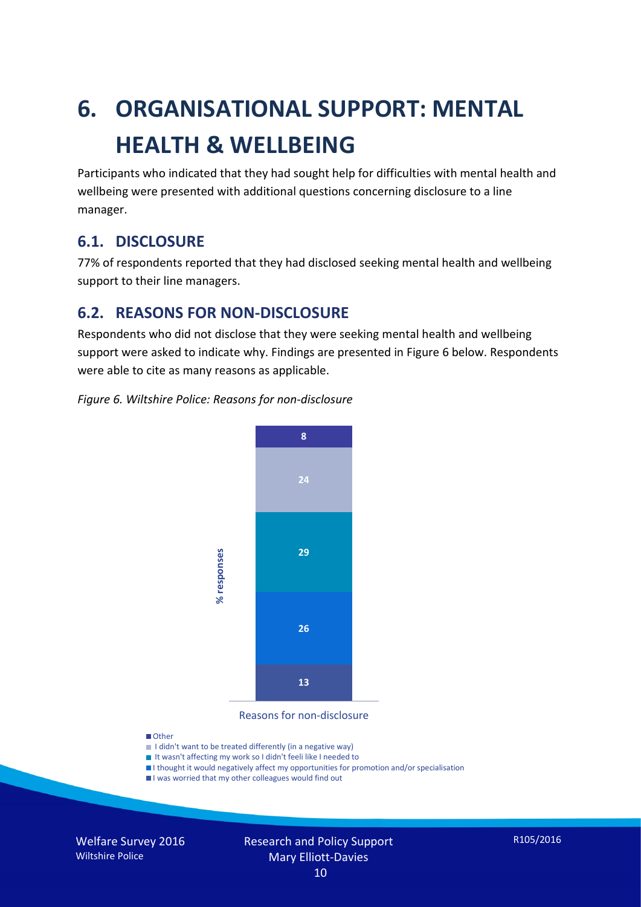# **6. ORGANISATIONAL SUPPORT: MENTAL HEALTH & WELLBEING**

Participants who indicated that they had sought help for difficulties with mental health and wellbeing were presented with additional questions concerning disclosure to a line manager.

### **6.1. DISCLOSURE**

77% of respondents reported that they had disclosed seeking mental health and wellbeing support to their line managers.

### **6.2. REASONS FOR NON-DISCLOSURE**

Respondents who did not disclose that they were seeking mental health and wellbeing support were asked to indicate why. Findings are presented in Figure 6 below. Respondents were able to cite as many reasons as applicable.

### *Figure 6. Wiltshire Police: Reasons for non-disclosure*



Reasons for non-disclosure

#### **D**Other

- I didn't want to be treated differently (in a negative way)
- I It wasn't affecting my work so I didn't feeli like I needed to
- I thought it would negatively affect my opportunities for promotion and/or specialisation
- I was worried that my other colleagues would find out

Welfare Survey 2016 Wiltshire Police

#### Research and Policy Support Mary Elliott-Davies 10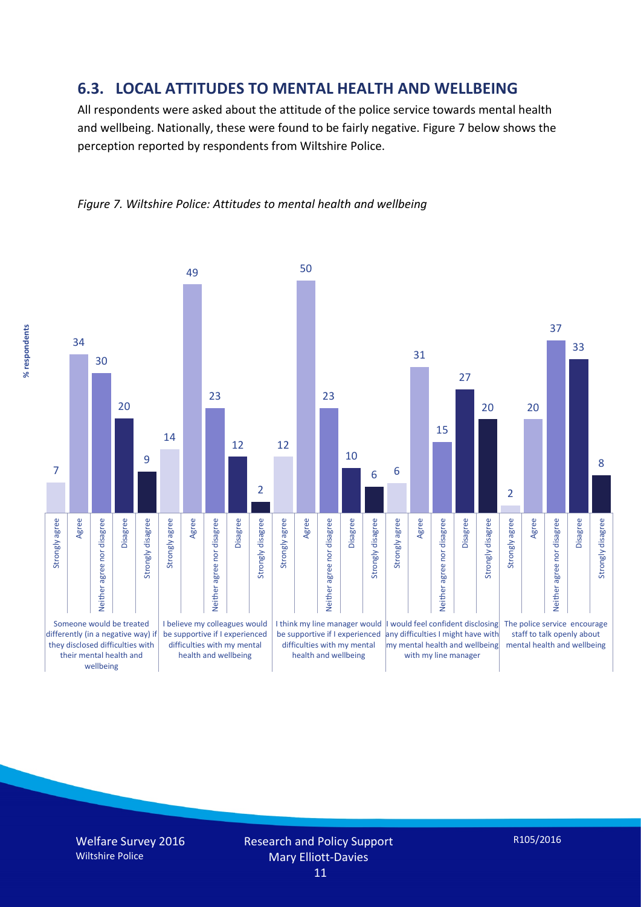### **6.3. LOCAL ATTITUDES TO MENTAL HEALTH AND WELLBEING**

All respondents were asked about the attitude of the police service towards mental health and wellbeing. Nationally, these were found to be fairly negative. Figure 7 below shows the perception reported by respondents from Wiltshire Police.





% respondents **% respondents**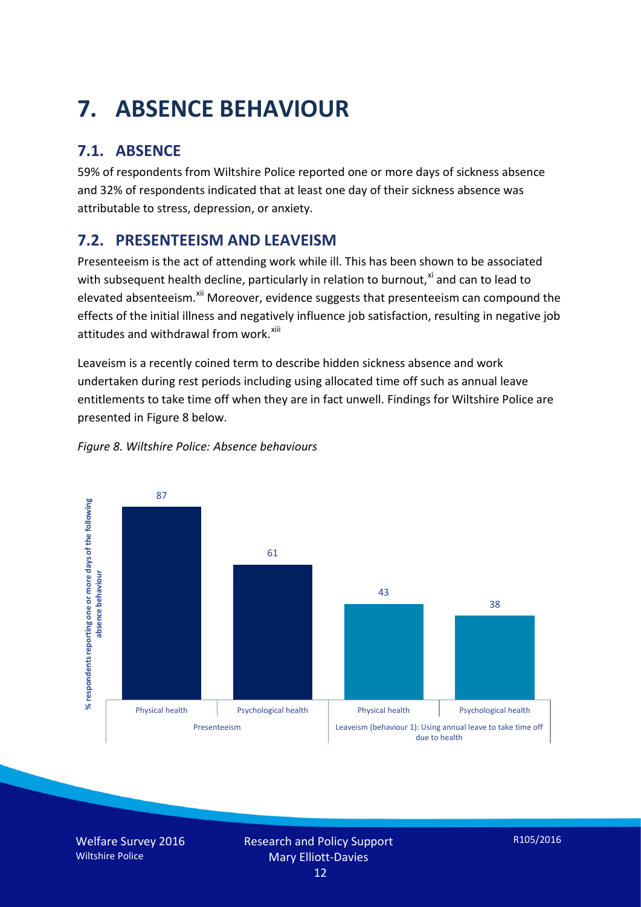# **7. ABSENCE BEHAVIOUR**

# **7.1. ABSENCE**

59% of respondents from Wiltshire Police reported one or more days of sickness absence and 32% of respondents indicated that at least one day of their sickness absence was attributable to stress, depression, or anxiety.

# **7.2. PRESENTEEISM AND LEAVEISM**

Presenteeism is the act of attending work while ill. This has been shown to be associated with subsequent health decline, particularly in relation to burnout, $x_i$  and can to lead to elevated absenteeism.<sup>[xii](#page-16-1)</sup> Moreover, evidence suggests that presenteeism can compound the effects of the initial illness and negatively influence job satisfaction, resulting in negative job attitudes and withdrawal from work.<sup>[xiii](#page-16-2)</sup>

Leaveism is a recently coined term to describe hidden sickness absence and work undertaken during rest periods including using allocated time off such as annual leave entitlements to take time off when they are in fact unwell. Findings for Wiltshire Police are presented in Figure 8 below.



*Figure 8. Wiltshire Police: Absence behaviours*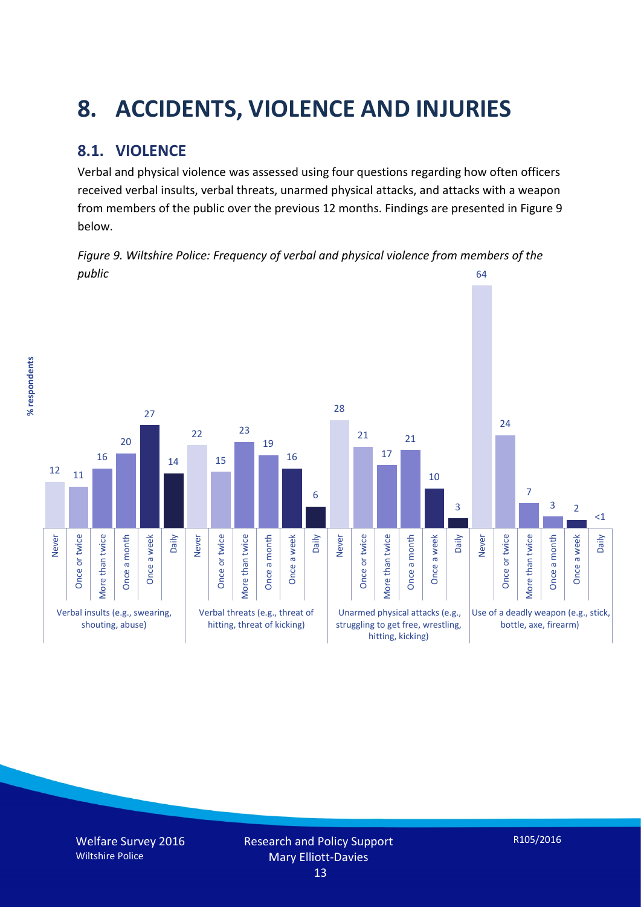# **8. ACCIDENTS, VIOLENCE AND INJURIES**

# **8.1. VIOLENCE**

Verbal and physical violence was assessed using four questions regarding how often officers received verbal insults, verbal threats, unarmed physical attacks, and attacks with a weapon from members of the public over the previous 12 months. Findings are presented in Figure 9 below.



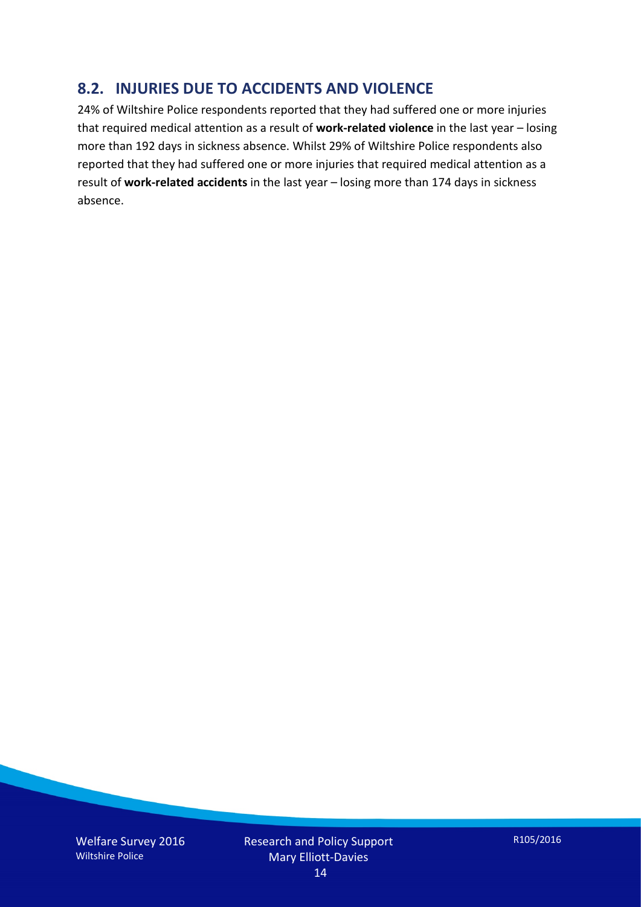# **8.2. INJURIES DUE TO ACCIDENTS AND VIOLENCE**

24% of Wiltshire Police respondents reported that they had suffered one or more injuries that required medical attention as a result of **work-related violence** in the last year – losing more than 192 days in sickness absence. Whilst 29% of Wiltshire Police respondents also reported that they had suffered one or more injuries that required medical attention as a result of **work-related accidents** in the last year – losing more than 174 days in sickness absence.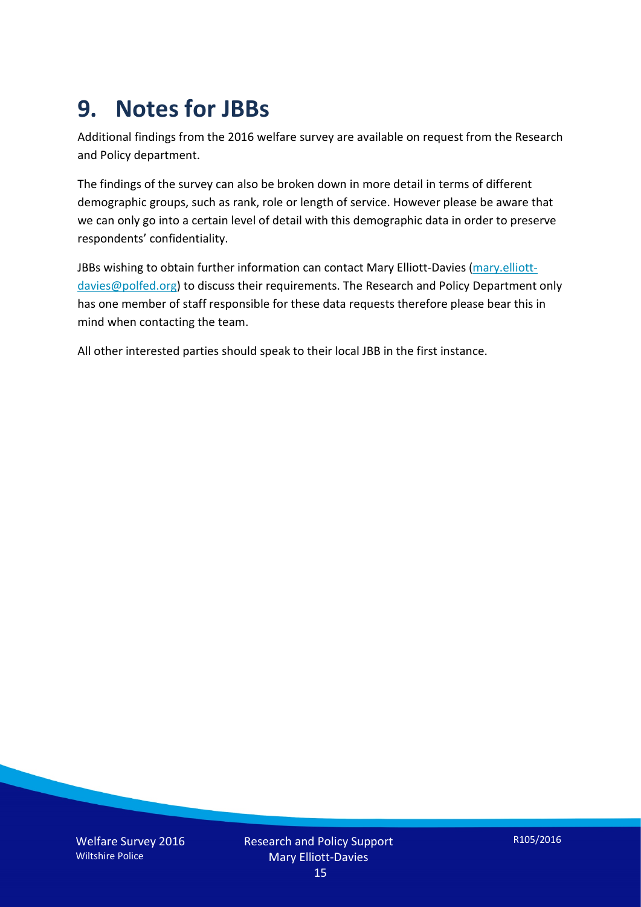# **9. Notes for JBBs**

Additional findings from the 2016 welfare survey are available on request from the Research and Policy department.

The findings of the survey can also be broken down in more detail in terms of different demographic groups, such as rank, role or length of service. However please be aware that we can only go into a certain level of detail with this demographic data in order to preserve respondents' confidentiality.

JBBs wishing to obtain further information can contact Mary Elliott-Davies [\(mary.elliott](mailto:mary.elliott-davies@polfed.org)[davies@polfed.org\)](mailto:mary.elliott-davies@polfed.org) to discuss their requirements. The Research and Policy Department only has one member of staff responsible for these data requests therefore please bear this in mind when contacting the team.

All other interested parties should speak to their local JBB in the first instance.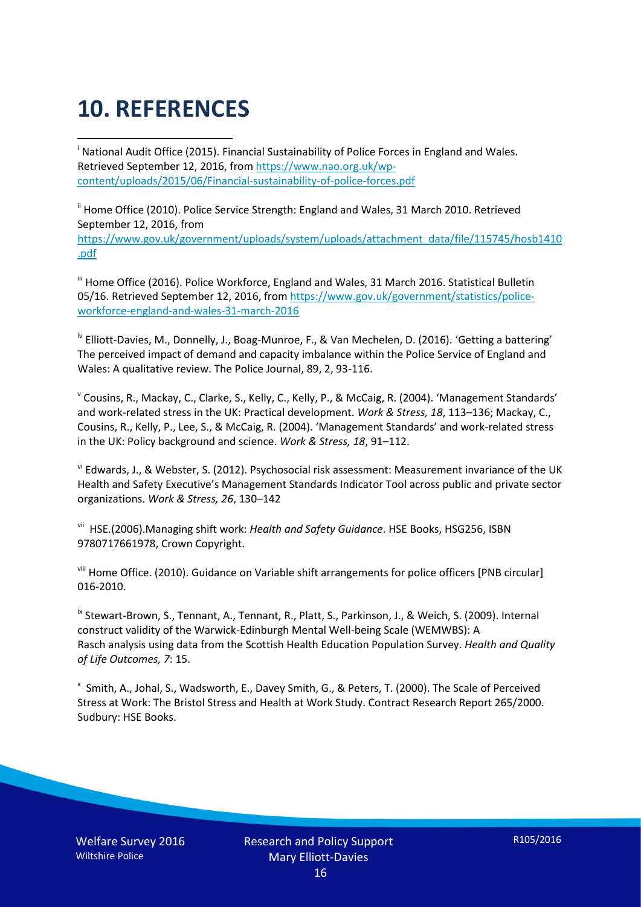# **10. REFERENCES**

<span id="page-15-0"></span>i National Audit Office (2015). Financial Sustainability of Police Forces in England and Wales. Retrieved September 12, 2016, fro[m https://www.nao.org.uk/wp](https://www.nao.org.uk/wp-content/uploads/2015/06/Financial-sustainability-of-police-forces.pdf)[content/uploads/2015/06/Financial-sustainability-of-police-forces.pdf](https://www.nao.org.uk/wp-content/uploads/2015/06/Financial-sustainability-of-police-forces.pdf)

<span id="page-15-1"></span><sup>ii</sup> Home Office (2010). Police Service Strength: England and Wales, 31 March 2010. Retrieved September 12, 2016, from [https://www.gov.uk/government/uploads/system/uploads/attachment\\_data/file/115745/hosb1410](https://www.gov.uk/government/uploads/system/uploads/attachment_data/file/115745/hosb1410.pdf) [.pdf](https://www.gov.uk/government/uploads/system/uploads/attachment_data/file/115745/hosb1410.pdf)

<span id="page-15-2"></span><sup>iii</sup> Home Office (2016). Police Workforce, England and Wales, 31 March 2016. Statistical Bulletin 05/16. Retrieved September 12, 2016, fro[m https://www.gov.uk/government/statistics/police](https://www.gov.uk/government/statistics/police-workforce-england-and-wales-31-march-2016)[workforce-england-and-wales-31-march-2016](https://www.gov.uk/government/statistics/police-workforce-england-and-wales-31-march-2016)

<span id="page-15-3"></span><sup>iv</sup> Elliott-Davies, M., Donnelly, J., Boag-Munroe, F., & Van Mechelen, D. (2016). 'Getting a battering' The perceived impact of demand and capacity imbalance within the Police Service of England and Wales: A qualitative review. The Police Journal, 89, 2, 93-116.

<span id="page-15-4"></span><sup>v</sup> Cousins, R., Mackay, C., Clarke, S., Kelly, C., Kelly, P., & McCaig, R. (2004). 'Management Standards' and work-related stress in the UK: Practical development. *Work & Stress, 18*, 113–136; Mackay, C., Cousins, R., Kelly, P., Lee, S., & McCaig, R. (2004). 'Management Standards' and work-related stress in the UK: Policy background and science. *Work & Stress, 18*, 91–112.

<span id="page-15-5"></span>vi Edwards, J., & Webster, S. (2012). Psychosocial risk assessment: Measurement invariance of the UK Health and Safety Executive's Management Standards Indicator Tool across public and private sector organizations. *Work & Stress, 26*, 130–142

<span id="page-15-6"></span>vii HSE.(2006).Managing shift work: *Health and Safety Guidance*. HSE Books, HSG256, ISBN 9780717661978, Crown Copyright.

<span id="page-15-7"></span>viii Home Office. (2010). Guidance on Variable shift arrangements for police officers [PNB circular] 016-2010.

<span id="page-15-8"></span><sup>ix</sup> Stewart-Brown, S., Tennant, A., Tennant, R., Platt, S., Parkinson, J., & Weich, S. (2009). Internal construct validity of the Warwick-Edinburgh Mental Well-being Scale (WEMWBS): A Rasch analysis using data from the Scottish Health Education Population Survey. *Health and Quality of Life Outcomes, 7*: 15.

<span id="page-15-9"></span>x Smith, A., Johal, S., Wadsworth, E., Davey Smith, G., & Peters, T. (2000). The Scale of Perceived Stress at Work: The Bristol Stress and Health at Work Study. Contract Research Report 265/2000. Sudbury: HSE Books.